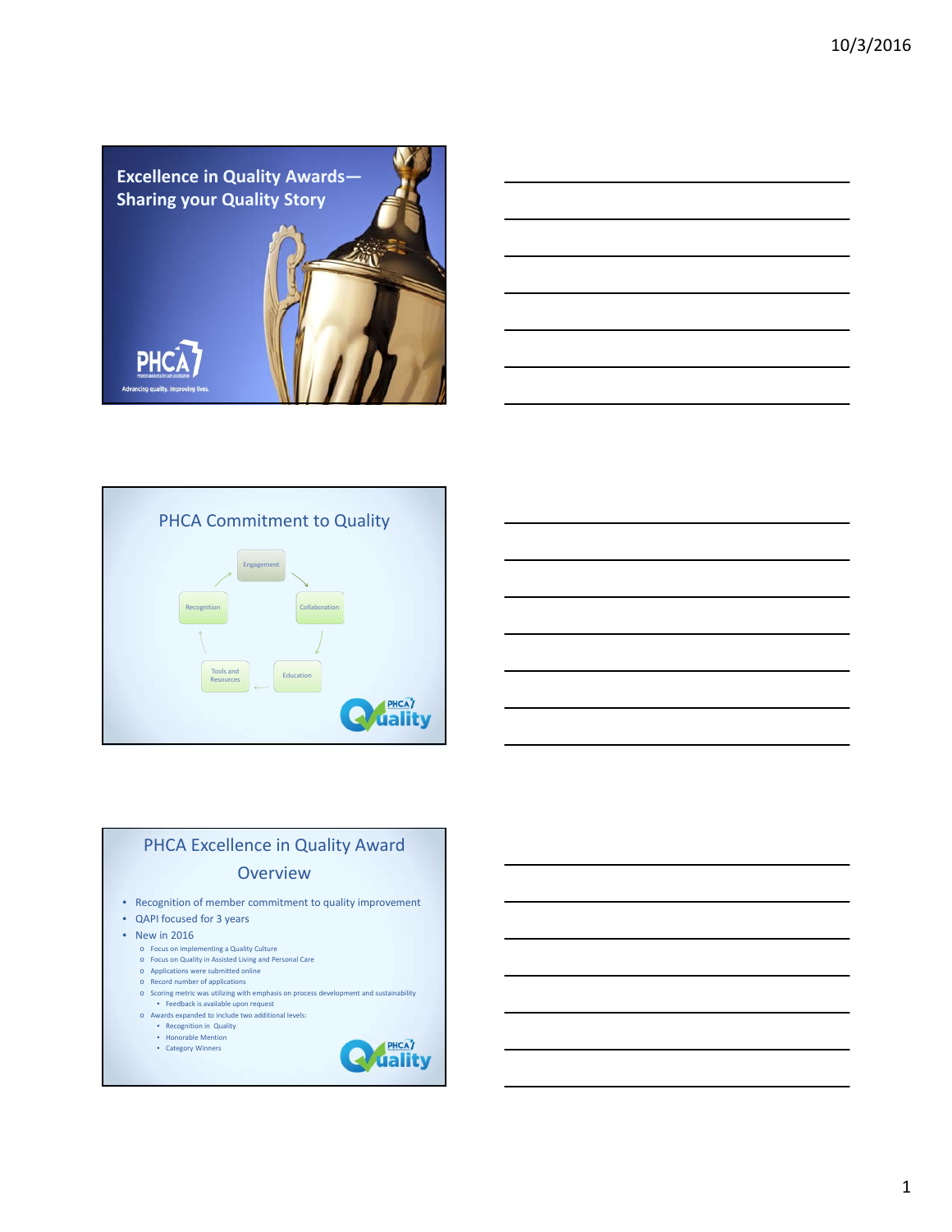







# PHCA Excellence in Quality Award **Overview**

- Recognition of member commitment to quality improvement
- QAPI focused for 3 years
- New in 2016
	- o Focus on implementing a Quality Culture
	- o Focus on Quality in Assisted Living and Personal Care o Applications were submitted online
	- o Record number of applications
	- o Scoring metric was utilizing with emphasis on process development and sustainability
	- Feedback is available upon request o Awards expanded to include two additional levels:
		-
		- Recognition in Quality Honorable Mention • Category Winners

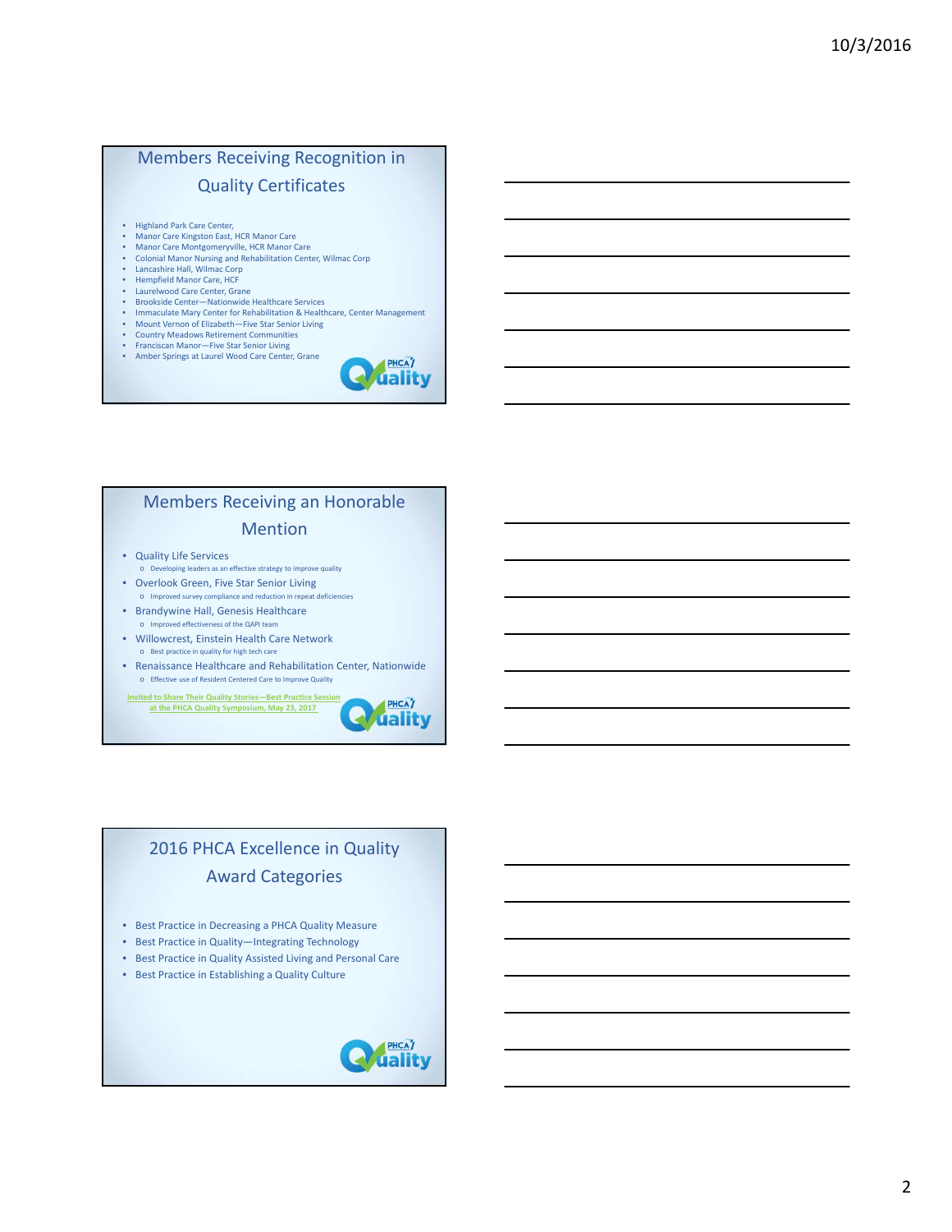# Members Receiving Recognition in Quality Certificates

- 
- Highland Park Care Center, Manor Care Kingston East, HCR Manor Care
- Manor Care Montgomeryville, HCR Manor Care<br>• Colonial Manor Nursing and Pebabilitation Cent • Colonial Manor Nursing and Rehabilitation Center, Wilmac Corp
- Lancashire Hall, Wilmac Corp
- Hempfield Manor Care, HCF<br>• Laurelwood Care Center Gra
- Laurelwood Care Center, Grane<br>• Brookside Center-Nationwide
- Brookside Center—Nationwide Healthcare Services
- Immaculate Mary Center for Rehabilitation & Healthcare, Center Management<br>• Mount Vernon of Elizabeth—Eive Star Senior Living
- Mount Vernon of Elizabeth—Five Star Senior Living<br>• Country Meadows Retirement Communities
- Country Meadows Retirement Communities Franciscan Manor—Five Star Senior Living
- Amber Springs at Laurel Wood Care Center, Grane



- Quality Life Services
- o Developing leaders as an effective strategy to improve quality • Overlook Green, Five Star Senior Living
- o Improved survey compliance and reduction in repeat deficiencies • Brandywine Hall, Genesis Healthcare
- ed effectiveness of the QAPI te
- Willowcrest, Einstein Health Care Network
- $\circ$  Best practice in quality for high tech ca • Renaissance Healthcare and Rehabilitation Center, Nationwide o Effective use of Resident Centered Care to Improve Quality

**Invited to Share Their Quality Stories—Best Practice Session at the PHCA Quality Symposium, May 23, 2017**



PHCAT **uality** 

# 2016 PHCA Excellence in Quality Award Categories

- Best Practice in Decreasing a PHCA Quality Measure
- Best Practice in Quality—Integrating Technology
- Best Practice in Quality Assisted Living and Personal Care
- Best Practice in Establishing a Quality Culture

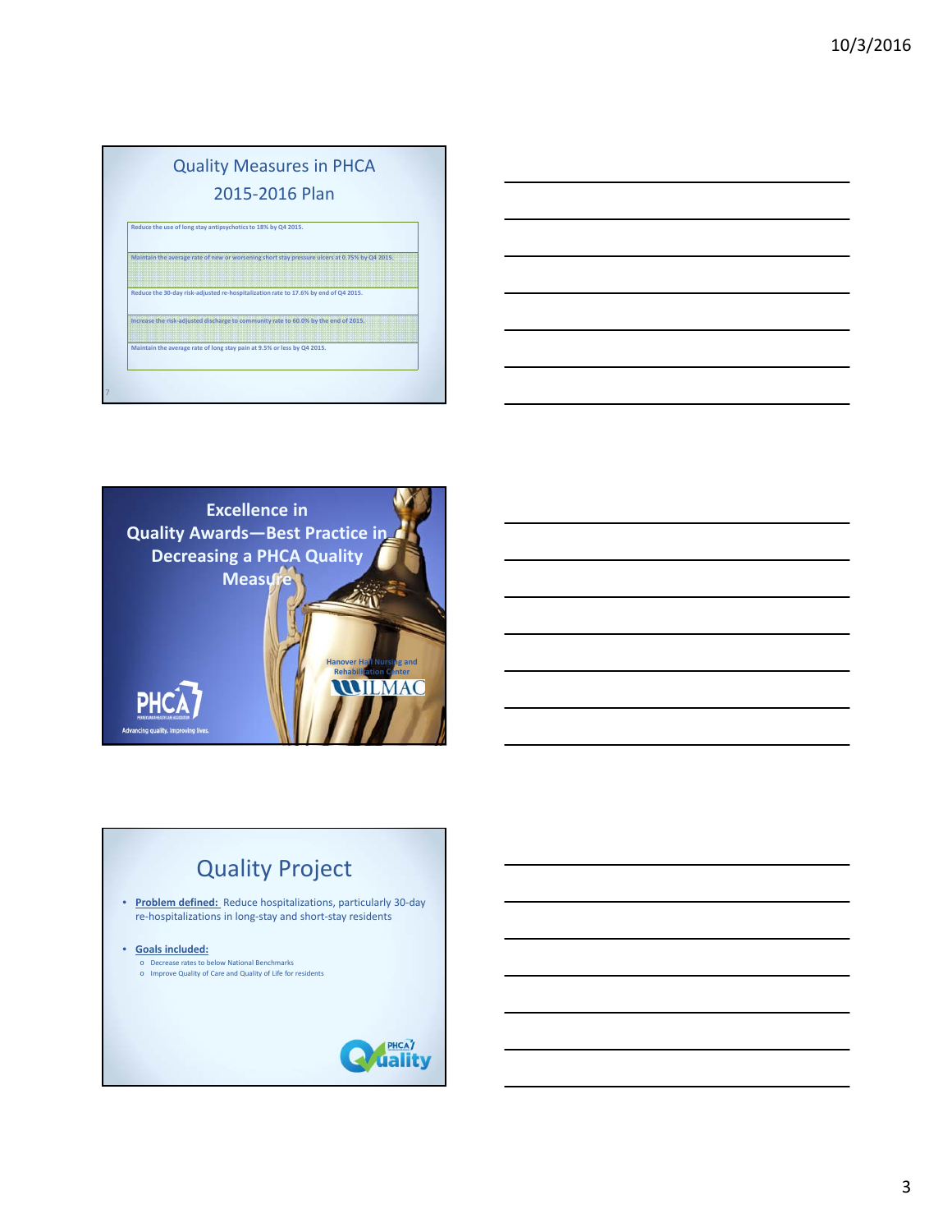# Quality Measures in PHCA 2015‐2016 Plan **Reduce the use of long stay antipsychoticsto 18% by Q4 2015.**

**Maintain the average rate of new or worsening short stay pressure ulcers at 0.75% by Q4 2015.**

**Reduce the 30‐day risk‐adjusted re‐hospitalization rate to 17.6% by end of Q4 2015. Increase the risk‐adjusted discharge to community rate to 60.0% by the end of 2015.**

**Maintain the average rate of long stay pain at 9.5% or less by Q4 2015.**

7



# Quality Project • **Problem defined:** Reduce hospitalizations, particularly 30‐day re‐hospitalizations in long‐stay and short‐stay residents • **Goals included:** o Decrease rates to below National Benchmarks o Improve Quality of Care and Quality of Life for residents**HEAT**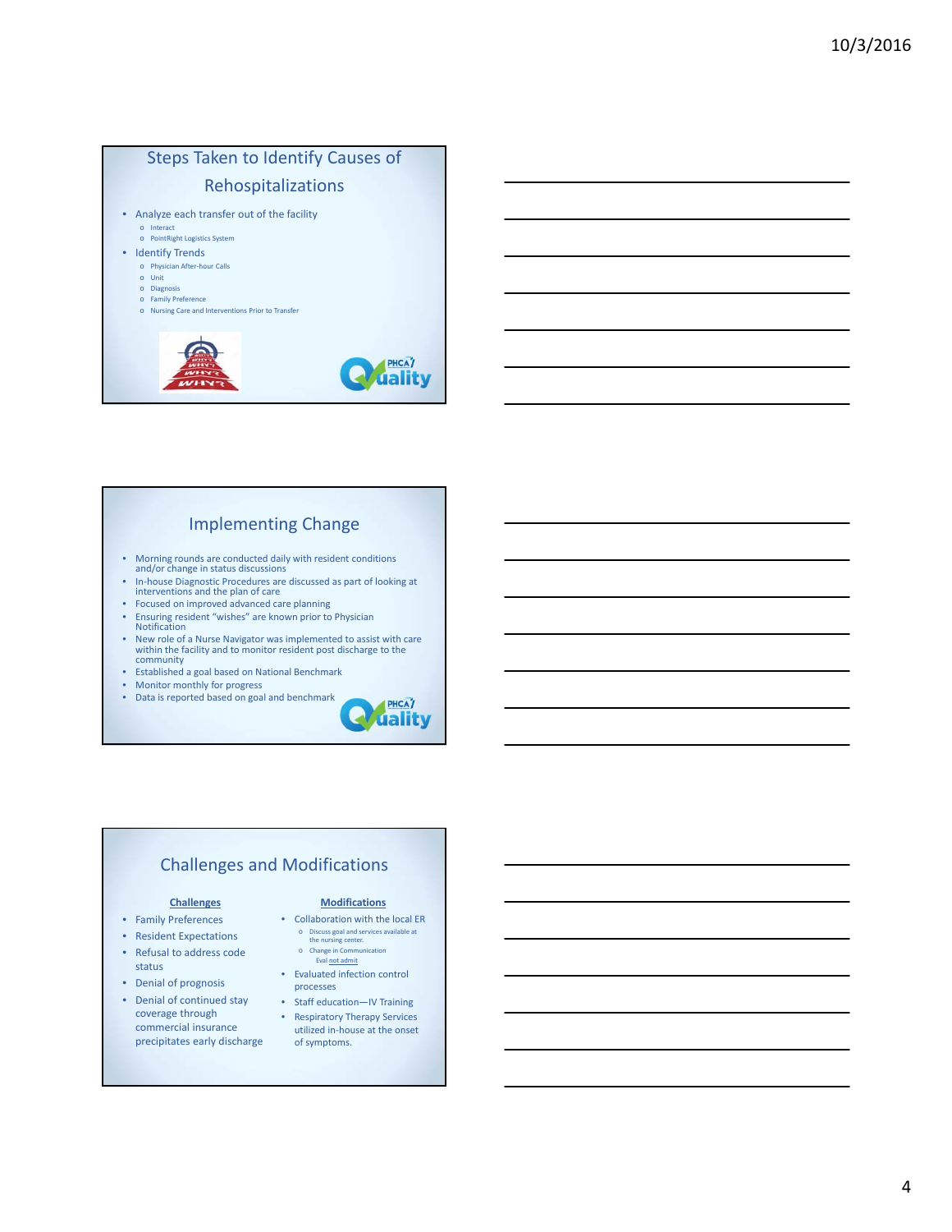

#### Implementing Change

- Morning rounds are conducted daily with resident conditions and/or change in status discussions
- In‐house Diagnostic Procedures are discussed as part of looking at interventions and the plan of care
- Focused on improved advanced care planning<br>• Ensuring resident "wishes" are known prior to
- Ensuring resident "wishes" are known prior to Physician Notification
- New role of <sup>a</sup> Nurse Navigator was implemented to assist with care within the facility and to monitor resident post discharge to the community
- Established a goal based on National Benchmark<br>• Monitor monthly for progress
- Monitor monthly for progress<br>• Data is reported based on goal
- Data is reported based on goal and benchmark



#### Challenges and Modifications

- Family Preferences
- Resident Expectations
- Refusal to address code status
- Denial of prognosis
- Denial of continued stay coverage through commercial insurance precipitates early discharge

#### **Challenges Modifications**

- Collaboration with the local ER
	- o Discuss goal and services available at the nursing center. o Change in Communi Eval not admit
- Evaluated infection control processes
- Staff education—IV Training • Respiratory Therapy Services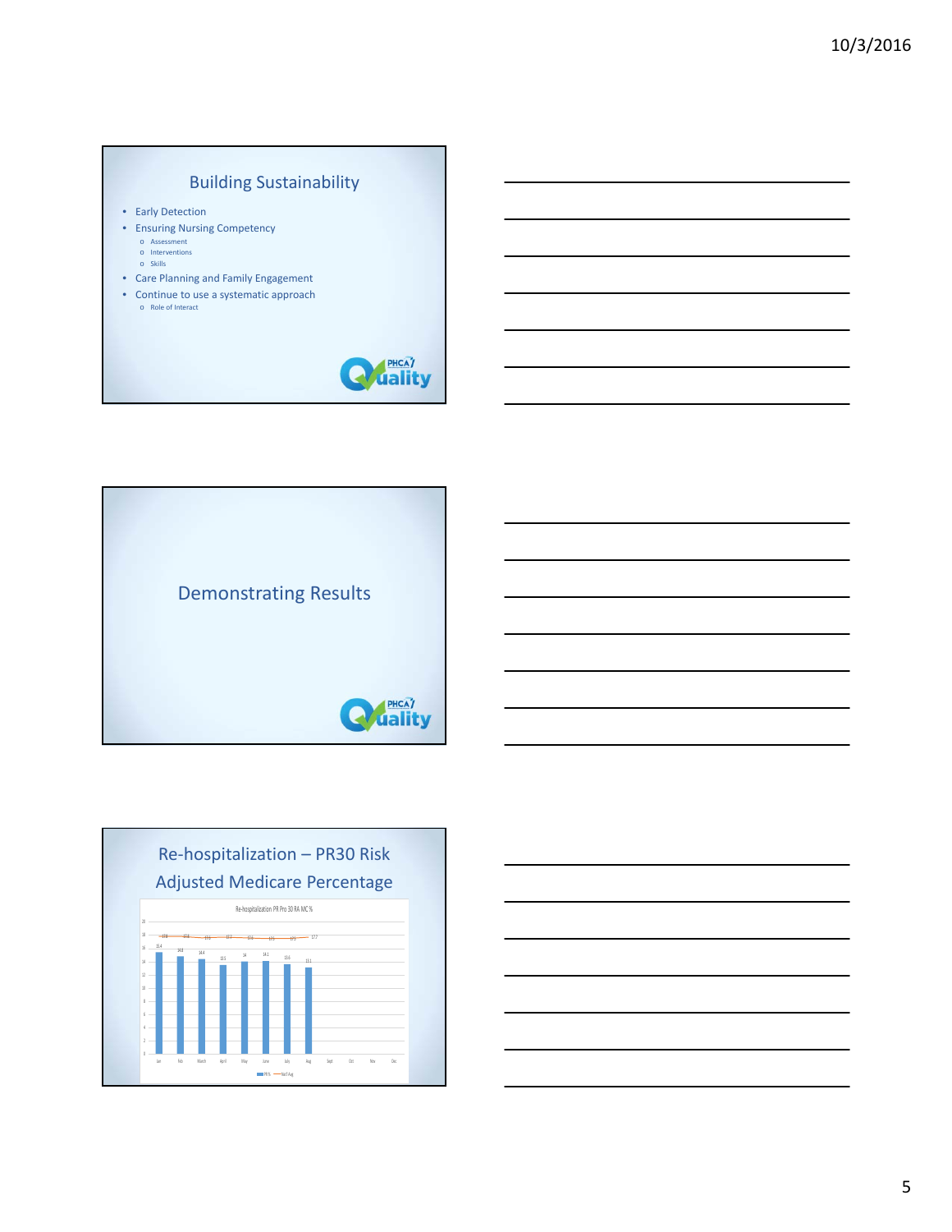# Building Sustainability

- Early Detection
- Ensuring Nursing Competency o Assessment
	-
	- o Interventions o Skills
- Care Planning and Family Engagement
- Continue to use a systematic approach o Role of Interact







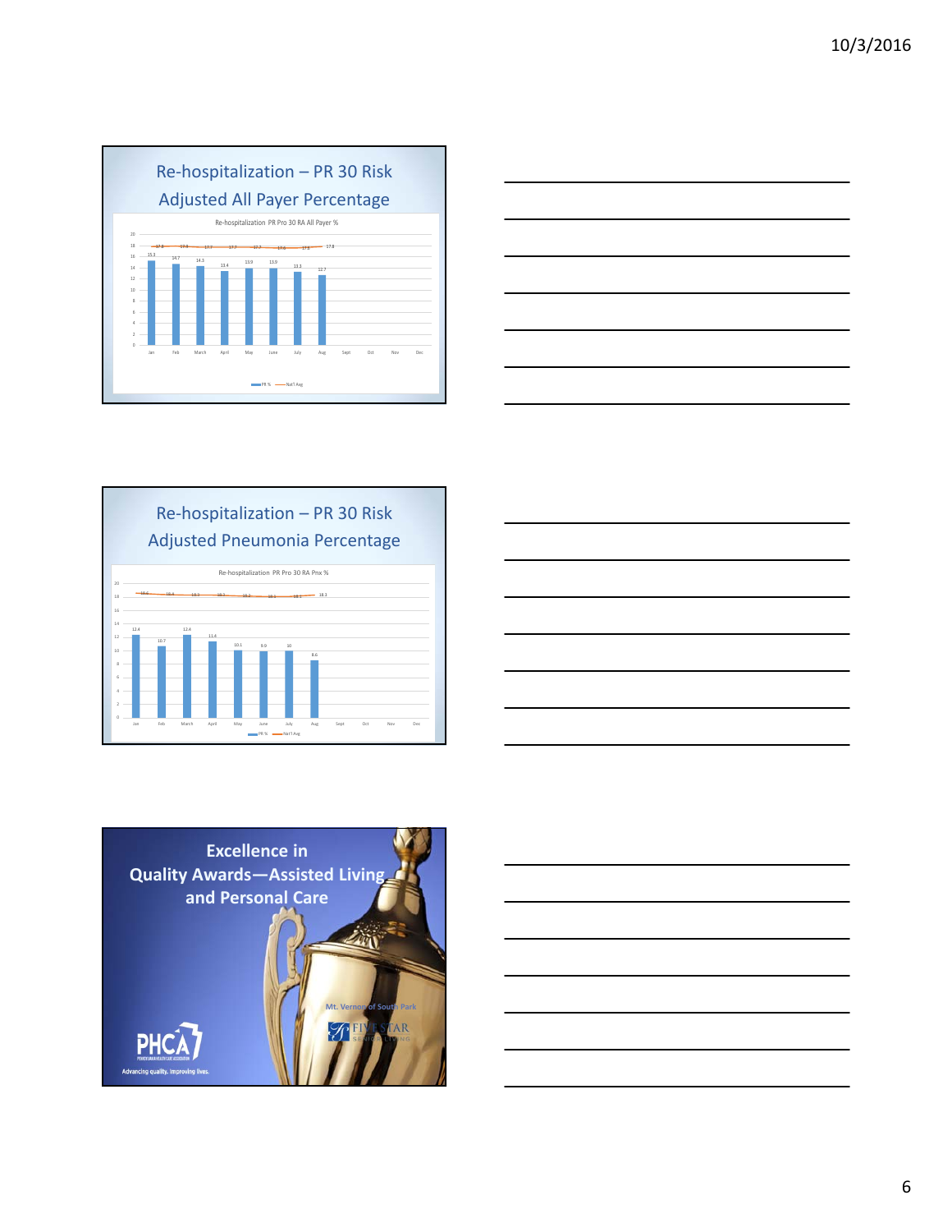







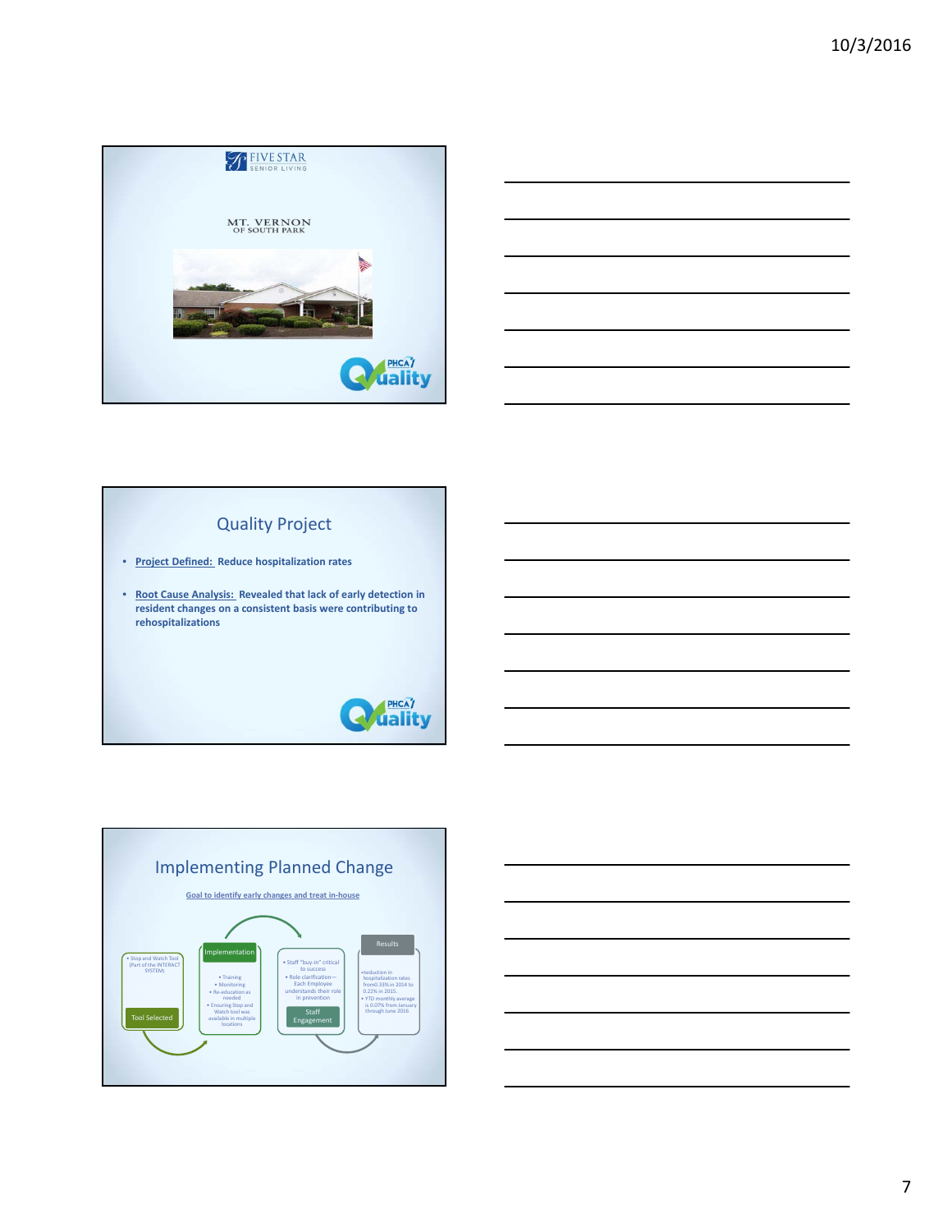



## Quality Project

- **Project Defined: Reduce hospitalization rates**
- **Root Cause Analysis: Revealed that lack of early detection in resident changes on a consistent basis were contributing to rehospitalizations**





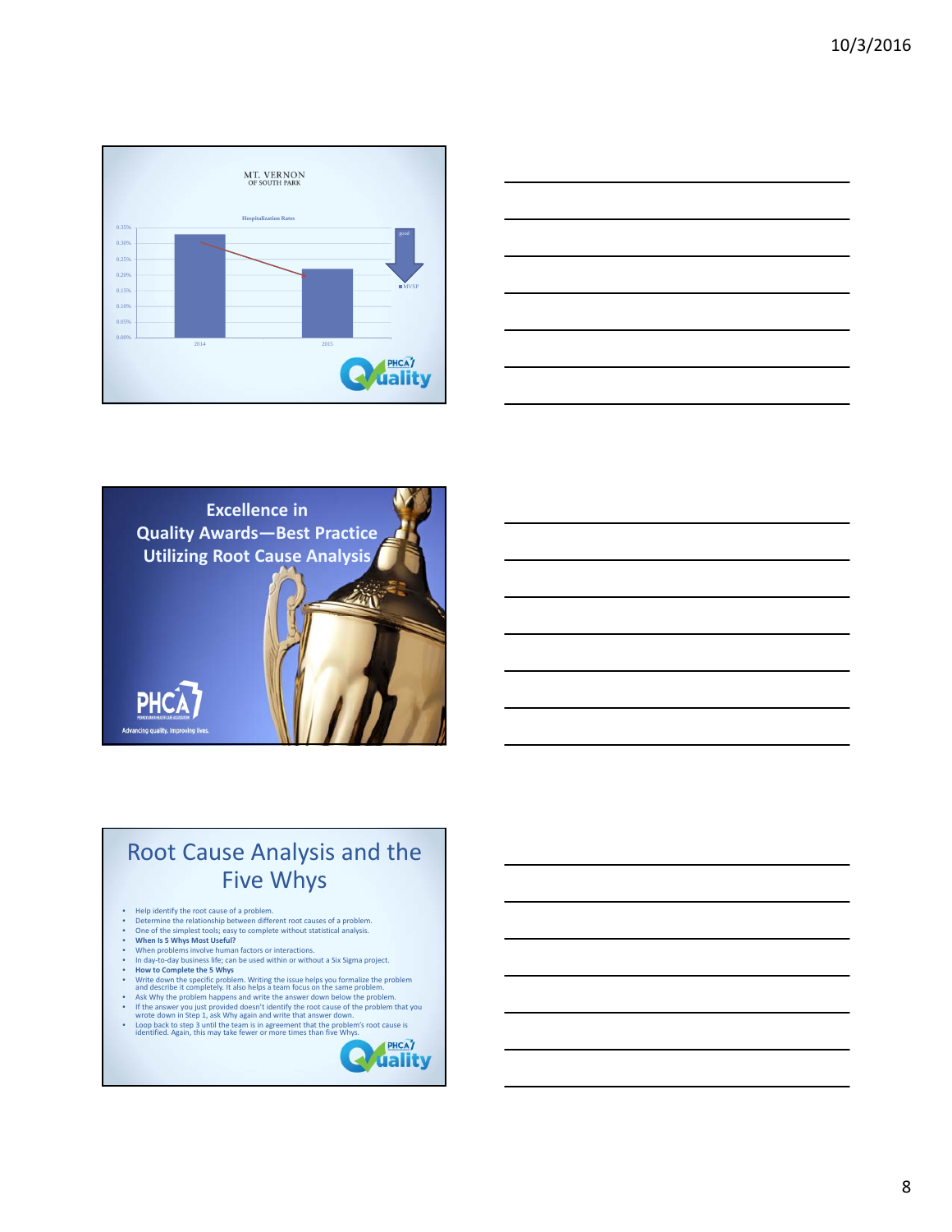





# Root Cause Analysis and the Five Whys

- 
- 
- 
- 
- 
- 
- 
- 
- 
- Help identify the root cause of a problem.<br>
 Determine the relationship between different root causes of a problem.<br>
 One of the simplest tools; easy to complete without statistical analysis.<br>
 When Is S Whys Most Use
- Loop back to step <sup>3</sup> until the team is in agreement that the problem's root cause is identified. Again, this may take fewer or more times than five Whys.

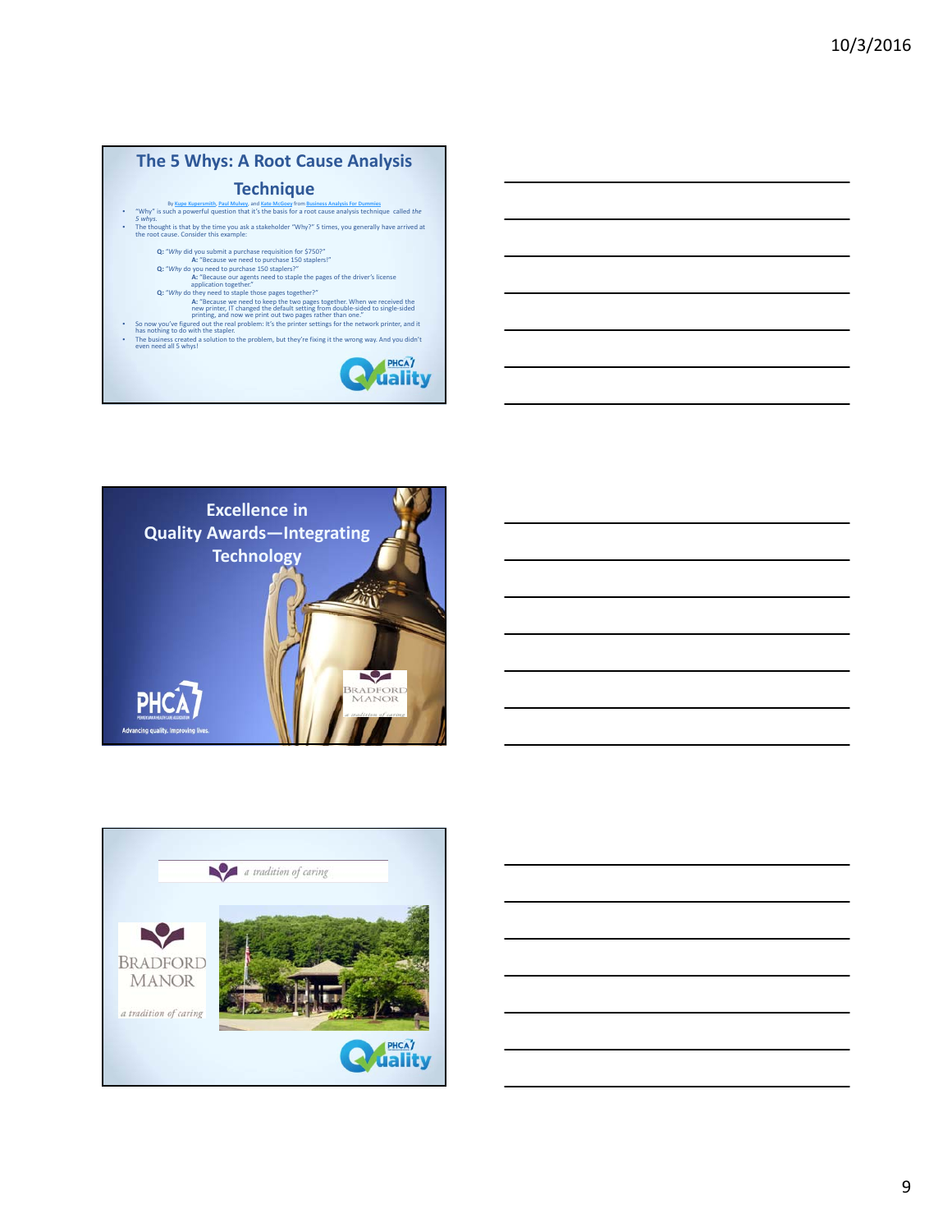# **The 5 Whys: A Root Cause Analysis**

## **Technique**

- By <u>Kupe Kupersmith</u>, Paul Mulvey, and <u>Kate McGoey</u> from <u>Business Analysis For Dummies</u><br>Why" is such a powerful question that it's the basis for a root cause analysis technique called the<br>5 whys.
- The thought is that by the time you ask <sup>a</sup> stakeholder "Why?" <sup>5</sup> times, you generally have arrived at the root cause. Consider this example:
	-
	-
	- Q: "Why did you submit a purchase requisition for \$750?"<br>Q: "Why do you need to purchase 150 staplers!"<br>Q: "Why do you need to purchase 150 staplers!"<br>"application together."<br>"Ar "Because our agents need to staple the page
	-
- **A:** "Because we need to keep the two pages together. When we received the<br>new printer, IT changed the default setting from double‐sided to single‐sided<br>printing, and now we print out two pages rather than one."
- So now you've figured out the real problem: It's the printer settings for the network printer, and it has nothing to do with the stapler.
- The business created <sup>a</sup> solution to the problem, but they're fixing it the wrong way. And you didn't even need all <sup>5</sup> whys!







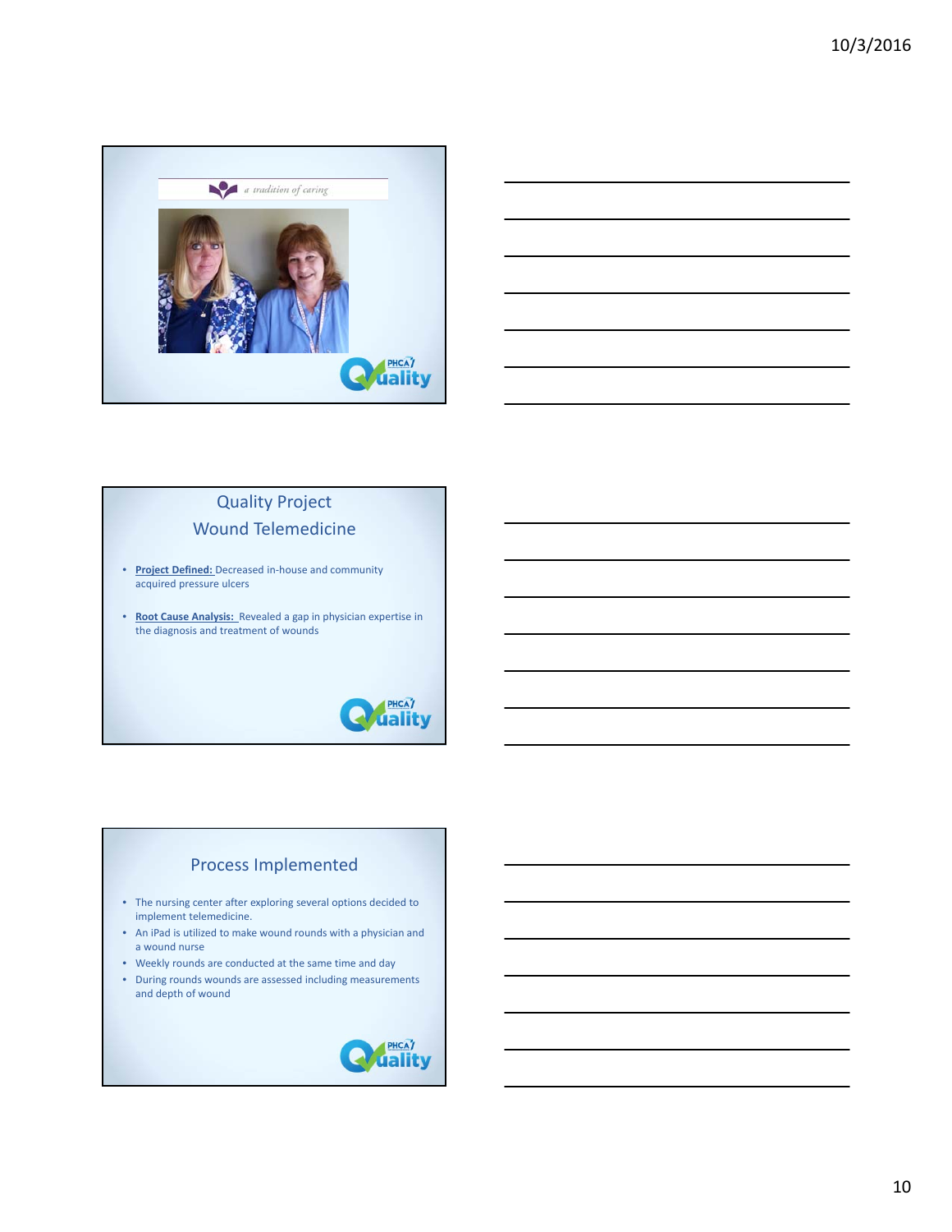



# Quality Project Wound Telemedicine

- **Project Defined:** Decreased in‐house and community acquired pressure ulcers
- **Root Cause Analysis:** Revealed a gap in physician expertise in the diagnosis and treatment of wounds



## Process Implemented

- The nursing center after exploring several options decided to implement telemedicine.
- An iPad is utilized to make wound rounds with a physician and a wound nurse
- Weekly rounds are conducted at the same time and day
- During rounds wounds are assessed including measurements and depth of wound

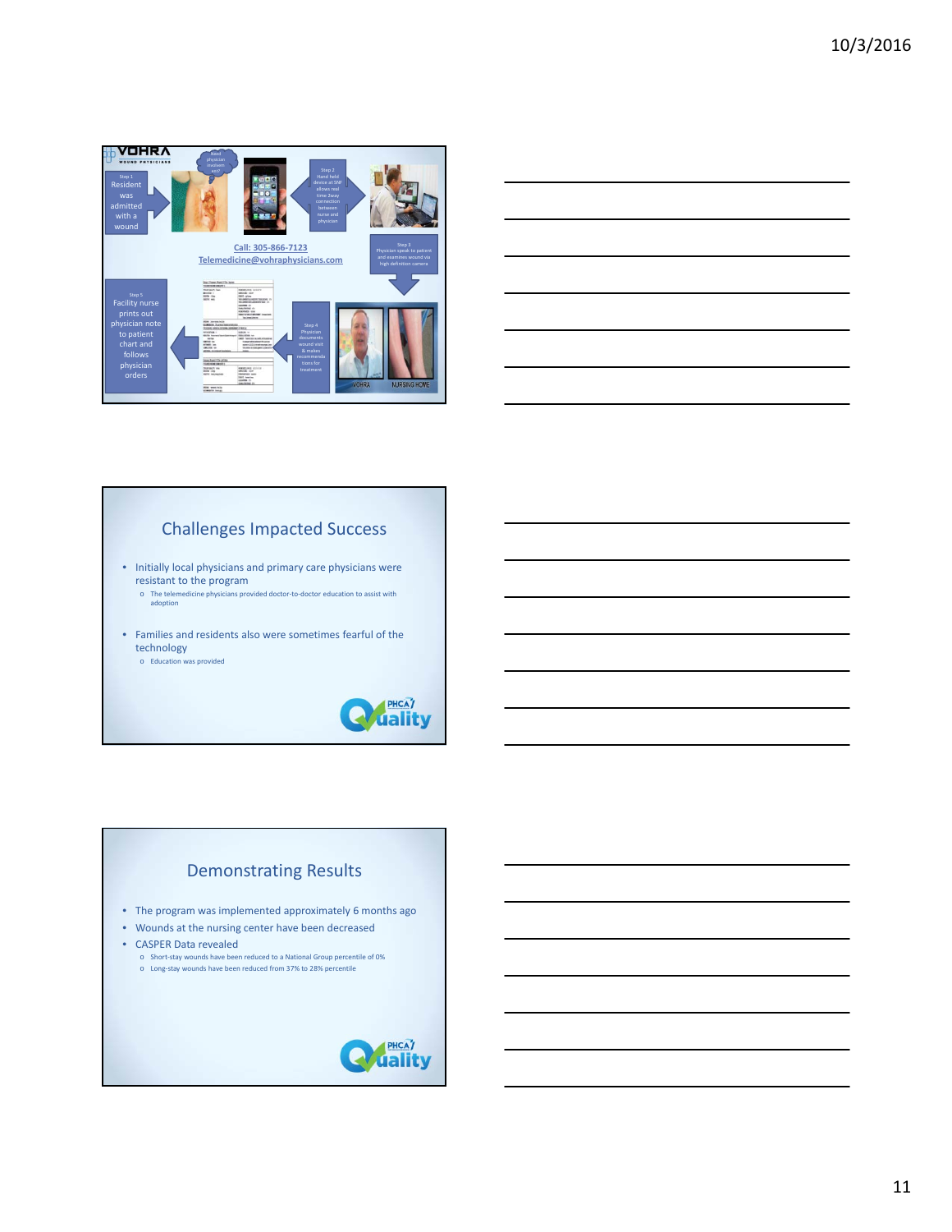



## Challenges Impacted Success

• Initially local physicians and primary care physicians were resistant to the program

o The telemedicine physicians provided doctor‐to‐doctor education to assist with adoption

• Families and residents also were sometimes fearful of the technology

o Education was provided



# Demonstrating Results • The program was implemented approximately 6 months ago • Wounds at the nursing center have been decreased • CASPER Data revealed o Short-stay wounds have been reduced to a National Group percentile of 0%<br>○ Long-stay wounds have been reduced from 37% to 28% percentile

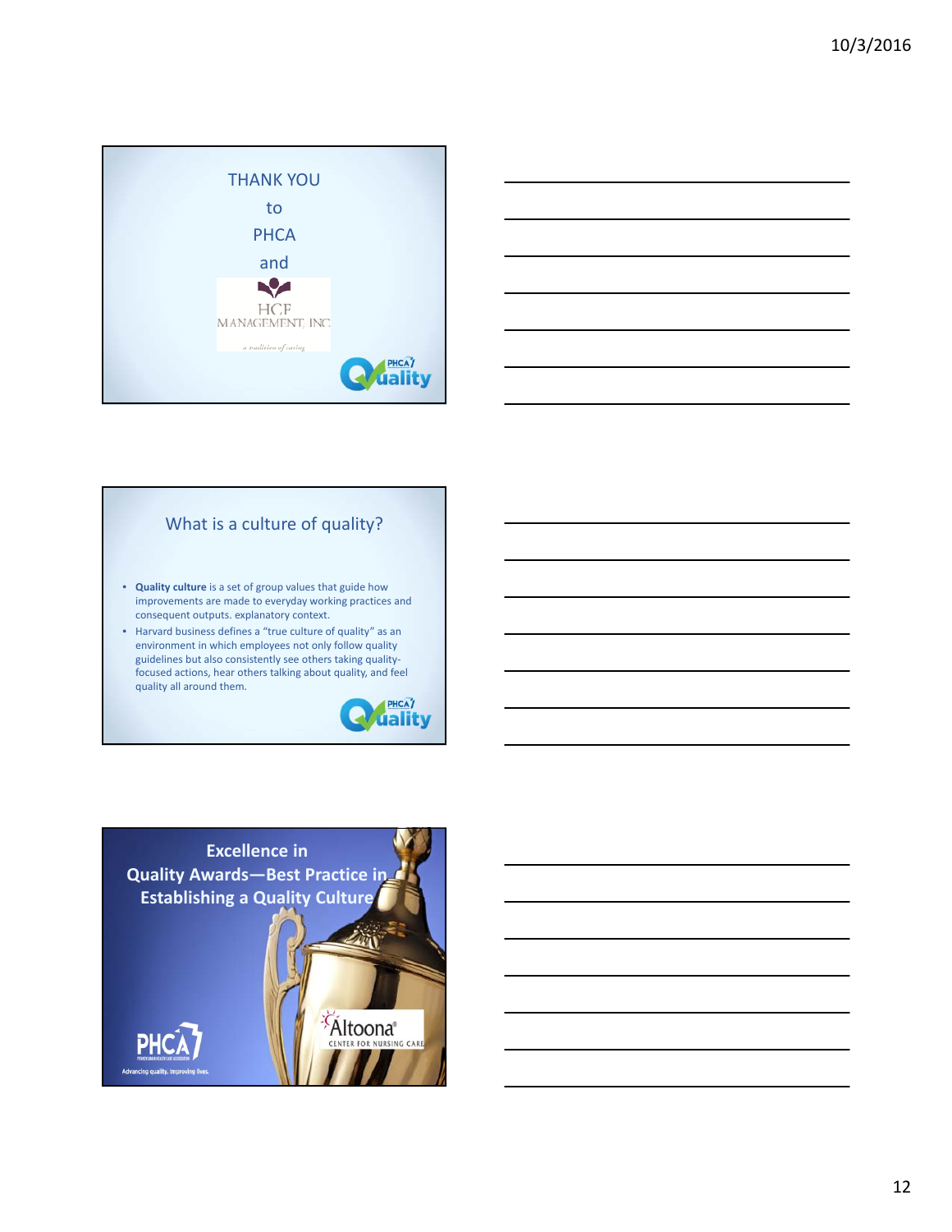



### What is a culture of quality?

- **Quality culture** is a set of group values that guide how improvements are made to everyday working practices and consequent outputs. explanatory context.
- Harvard business defines a "true culture of quality" as an environment in which employees not only follow quality guidelines but also consistently see others taking quality‐ focused actions, hear others talking about quality, and feel quality all around them.



**Altoona**<sup>®</sup> FER FOR NURSING CAR

**Excellence in Quality Awards—Best Practice in City Establishing a Quality Culture** 

**Advancing quality, Im**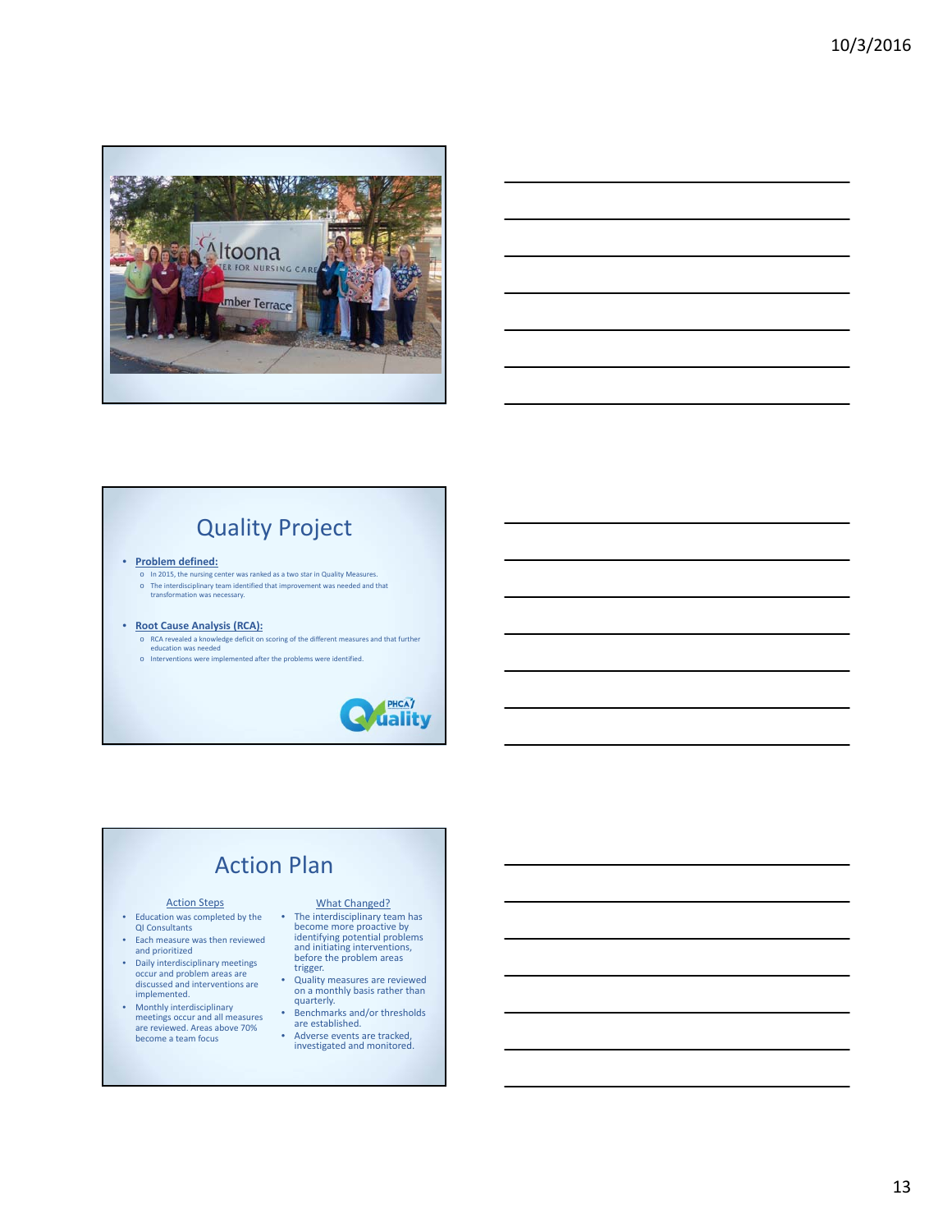



# Quality Project

#### • **Problem defined:**

o In 2015, the nursing center was ranked as a two star in Quality Measures. o The interdisciplinary team identified that improvement was needed and that transformation was necessary.

#### • **Root Cause Analysis (RCA):**

- o RCA revealed a knowledge deficit on scoring of the different measures and that further education was needed
- o Interventions were implemented after the problems were identified.



# Action Plan

- Education was completed by the QI Consultants
- Each measure was then reviewed and prioritized
- Daily interdisciplinary meetings occur and problem areas are discussed and interventions are implemented.
- Monthly interdisciplinary meetings occur and all measures are reviewed. Areas above 70% become a team focus

#### Action Steps What Changed?

- The interdisciplinary team has<br>become more proactive by<br>identifying potential problems<br>and initiating interventions,<br>before the problem areas<br>trigger.
- Quality measures are reviewed<br>• Quality measures are reviewed<br>• constants quarterly.
- Benchmarks and/or thresholds are established.
- Adverse events are tracked, investigated and monitored.